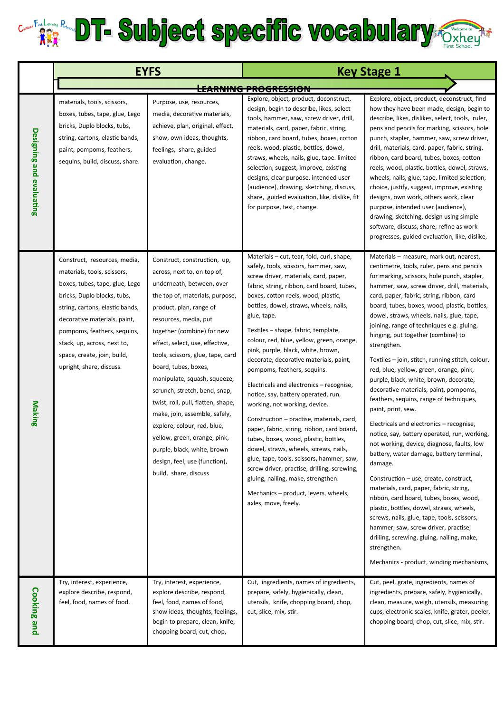## **Car Party Prints DT- Subject specific vocabulary Cxhey**

|                          | <b>EYFS</b>                                                                                                                                                                                                                                                                                                              |                                                                                                                                                                                                                                                                                                                                                                                                                                                                                                                                                                                                               | <b>Key Stage 1</b>                                                                                                                                                                                                                                                                                                                                                                                                                                                                                                                                                                                                                                                                                                                                                                                                                                                                                                                                                              |                                                                                                                                                                                                                                                                                                                                                                                                                                                                                                                                                                                                                                                                                                                                                                                                                                                                                                                                                                                                                                                                                                                                                                                                                                                                  |
|--------------------------|--------------------------------------------------------------------------------------------------------------------------------------------------------------------------------------------------------------------------------------------------------------------------------------------------------------------------|---------------------------------------------------------------------------------------------------------------------------------------------------------------------------------------------------------------------------------------------------------------------------------------------------------------------------------------------------------------------------------------------------------------------------------------------------------------------------------------------------------------------------------------------------------------------------------------------------------------|---------------------------------------------------------------------------------------------------------------------------------------------------------------------------------------------------------------------------------------------------------------------------------------------------------------------------------------------------------------------------------------------------------------------------------------------------------------------------------------------------------------------------------------------------------------------------------------------------------------------------------------------------------------------------------------------------------------------------------------------------------------------------------------------------------------------------------------------------------------------------------------------------------------------------------------------------------------------------------|------------------------------------------------------------------------------------------------------------------------------------------------------------------------------------------------------------------------------------------------------------------------------------------------------------------------------------------------------------------------------------------------------------------------------------------------------------------------------------------------------------------------------------------------------------------------------------------------------------------------------------------------------------------------------------------------------------------------------------------------------------------------------------------------------------------------------------------------------------------------------------------------------------------------------------------------------------------------------------------------------------------------------------------------------------------------------------------------------------------------------------------------------------------------------------------------------------------------------------------------------------------|
|                          |                                                                                                                                                                                                                                                                                                                          |                                                                                                                                                                                                                                                                                                                                                                                                                                                                                                                                                                                                               | <b>THE INVITING THREE INTERNATIONS</b>                                                                                                                                                                                                                                                                                                                                                                                                                                                                                                                                                                                                                                                                                                                                                                                                                                                                                                                                          |                                                                                                                                                                                                                                                                                                                                                                                                                                                                                                                                                                                                                                                                                                                                                                                                                                                                                                                                                                                                                                                                                                                                                                                                                                                                  |
| Designing and evaluating | materials, tools, scissors,<br>boxes, tubes, tape, glue, Lego<br>bricks, Duplo blocks, tubs,<br>string, cartons, elastic bands,<br>paint, pompoms, feathers,<br>sequins, build, discuss, share.                                                                                                                          | Purpose, use, resources,<br>media, decorative materials,<br>achieve, plan, original, effect,<br>show, own ideas, thoughts,<br>feelings, share, guided<br>evaluation, change.                                                                                                                                                                                                                                                                                                                                                                                                                                  | Explore, object, product, deconstruct,<br>design, begin to describe, likes, select<br>tools, hammer, saw, screw driver, drill,<br>materials, card, paper, fabric, string,<br>ribbon, card board, tubes, boxes, cotton<br>reels, wood, plastic, bottles, dowel,<br>straws, wheels, nails, glue, tape. limited<br>selection, suggest, improve, existing<br>designs, clear purpose, intended user<br>(audience), drawing, sketching, discuss,<br>share, guided evaluation, like, dislike, fit<br>for purpose, test, change.                                                                                                                                                                                                                                                                                                                                                                                                                                                        | Explore, object, product, deconstruct, find<br>how they have been made, design, begin to<br>describe, likes, dislikes, select, tools, ruler,<br>pens and pencils for marking, scissors, hole<br>punch, stapler, hammer, saw, screw driver,<br>drill, materials, card, paper, fabric, string,<br>ribbon, card board, tubes, boxes, cotton<br>reels, wood, plastic, bottles, dowel, straws,<br>wheels, nails, glue, tape, limited selection,<br>choice, justify, suggest, improve, existing<br>designs, own work, others work, clear<br>purpose, intended user (audience),<br>drawing, sketching, design using simple<br>software, discuss, share, refine as work<br>progresses, guided evaluation, like, dislike,                                                                                                                                                                                                                                                                                                                                                                                                                                                                                                                                                 |
| <b>Making</b>            | Construct, resources, media,<br>materials, tools, scissors,<br>boxes, tubes, tape, glue, Lego<br>bricks, Duplo blocks, tubs,<br>string, cartons, elastic bands,<br>decorative materials, paint,<br>pompoms, feathers, sequins,<br>stack, up, across, next to,<br>space, create, join, build,<br>upright, share, discuss. | Construct, construction, up,<br>across, next to, on top of,<br>underneath, between, over<br>the top of, materials, purpose,<br>product, plan, range of<br>resources, media, put<br>together (combine) for new<br>effect, select, use, effective,<br>tools, scissors, glue, tape, card<br>board, tubes, boxes,<br>manipulate, squash, squeeze,<br>scrunch, stretch, bend, snap,<br>twist, roll, pull, flatten, shape,<br>make, join, assemble, safely,<br>explore, colour, red, blue,<br>yellow, green, orange, pink,<br>purple, black, white, brown<br>design, feel, use (function),<br>build, share, discuss | Materials - cut, tear, fold, curl, shape,<br>safely, tools, scissors, hammer, saw,<br>screw driver, materials, card, paper,<br>fabric, string, ribbon, card board, tubes,<br>boxes, cotton reels, wood, plastic,<br>bottles, dowel, straws, wheels, nails,<br>glue, tape.<br>Textiles – shape, fabric, template,<br>colour, red, blue, yellow, green, orange,<br>pink, purple, black, white, brown,<br>decorate, decorative materials, paint,<br>pompoms, feathers, sequins.<br>Electricals and electronics - recognise,<br>notice, say, battery operated, run,<br>working, not working, device.<br>Construction – practise, materials, card,<br>paper, fabric, string, ribbon, card board,<br>tubes, boxes, wood, plastic, bottles,<br>dowel, straws, wheels, screws, nails,<br>glue, tape, tools, scissors, hammer, saw,<br>screw driver, practise, drilling, screwing,<br>gluing, nailing, make, strengthen.<br>Mechanics - product, levers, wheels,<br>axles, move, freely. | Materials – measure, mark out, nearest,<br>centimetre, tools, ruler, pens and pencils<br>for marking, scissors, hole punch, stapler,<br>hammer, saw, screw driver, drill, materials,<br>card, paper, fabric, string, ribbon, card<br>board, tubes, boxes, wood, plastic, bottles,<br>dowel, straws, wheels, nails, glue, tape,<br>joining, range of techniques e.g. gluing,<br>hinging, put together (combine) to<br>strengthen.<br>Textiles – join, stitch, running stitch, colour,<br>red, blue, yellow, green, orange, pink,<br>purple, black, white, brown, decorate,<br>decorative materials, paint, pompoms,<br>feathers, sequins, range of techniques,<br>paint, print, sew.<br>Electricals and electronics - recognise,<br>notice, say, battery operated, run, working,<br>not working, device, diagnose, faults, low<br>battery, water damage, battery terminal,<br>damage.<br>Construction - use, create, construct,<br>materials, card, paper, fabric, string,<br>ribbon, card board, tubes, boxes, wood,<br>plastic, bottles, dowel, straws, wheels,<br>screws, nails, glue, tape, tools, scissors,<br>hammer, saw, screw driver, practise,<br>drilling, screwing, gluing, nailing, make,<br>strengthen.<br>Mechanics - product, winding mechanisms, |
| <b>Cooking and</b>       | Try, interest, experience,<br>explore describe, respond,<br>feel, food, names of food.                                                                                                                                                                                                                                   | Try, interest, experience,<br>explore describe, respond,<br>feel, food, names of food,<br>show ideas, thoughts, feelings,<br>begin to prepare, clean, knife,<br>chopping board, cut, chop,                                                                                                                                                                                                                                                                                                                                                                                                                    | Cut, ingredients, names of ingredients,<br>prepare, safely, hygienically, clean,<br>utensils, knife, chopping board, chop,<br>cut, slice, mix, stir.                                                                                                                                                                                                                                                                                                                                                                                                                                                                                                                                                                                                                                                                                                                                                                                                                            | Cut, peel, grate, ingredients, names of<br>ingredients, prepare, safely, hygienically,<br>clean, measure, weigh, utensils, measuring<br>cups, electronic scales, knife, grater, peeler,<br>chopping board, chop, cut, slice, mix, stir.                                                                                                                                                                                                                                                                                                                                                                                                                                                                                                                                                                                                                                                                                                                                                                                                                                                                                                                                                                                                                          |